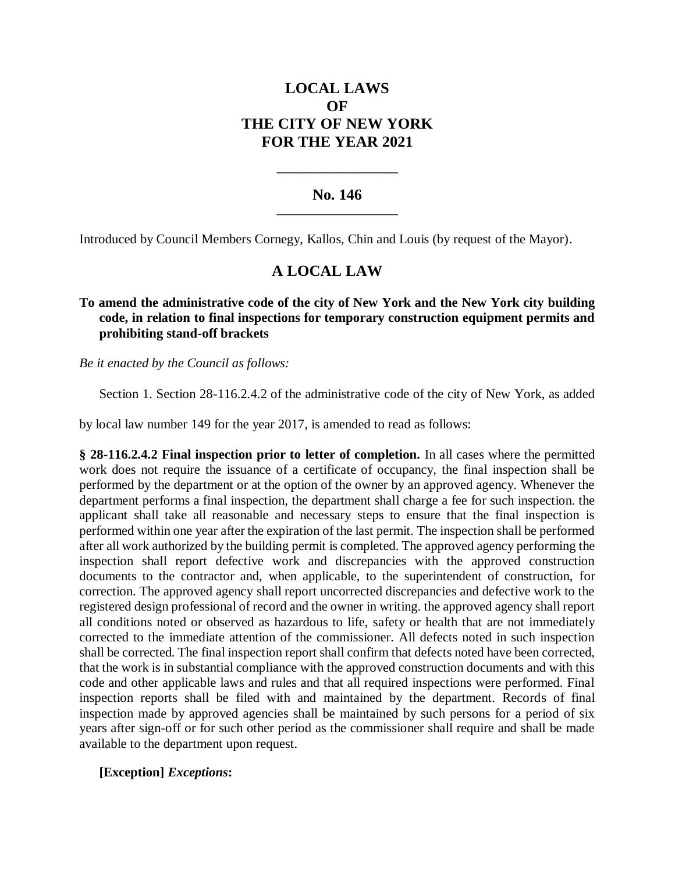# **LOCAL LAWS OF THE CITY OF NEW YORK FOR THE YEAR 2021**

### **No. 146 \_\_\_\_\_\_\_\_\_\_\_\_\_\_\_\_\_\_\_\_\_\_**

**\_\_\_\_\_\_\_\_\_\_\_\_\_\_\_\_\_\_\_\_\_\_**

Introduced by Council Members Cornegy, Kallos, Chin and Louis (by request of the Mayor).

## **A LOCAL LAW**

#### **To amend the administrative code of the city of New York and the New York city building code, in relation to final inspections for temporary construction equipment permits and prohibiting stand-off brackets**

*Be it enacted by the Council as follows:*

Section 1. Section 28-116.2.4.2 of the administrative code of the city of New York, as added

by local law number 149 for the year 2017, is amended to read as follows:

**§ 28-116.2.4.2 Final inspection prior to letter of completion.** In all cases where the permitted work does not require the issuance of a certificate of occupancy, the final inspection shall be performed by the department or at the option of the owner by an approved agency. Whenever the department performs a final inspection, the department shall charge a fee for such inspection. the applicant shall take all reasonable and necessary steps to ensure that the final inspection is performed within one year after the expiration of the last permit. The inspection shall be performed after all work authorized by the building permit is completed. The approved agency performing the inspection shall report defective work and discrepancies with the approved construction documents to the contractor and, when applicable, to the superintendent of construction, for correction. The approved agency shall report uncorrected discrepancies and defective work to the registered design professional of record and the owner in writing. the approved agency shall report all conditions noted or observed as hazardous to life, safety or health that are not immediately corrected to the immediate attention of the commissioner. All defects noted in such inspection shall be corrected. The final inspection report shall confirm that defects noted have been corrected, that the work is in substantial compliance with the approved construction documents and with this code and other applicable laws and rules and that all required inspections were performed. Final inspection reports shall be filed with and maintained by the department. Records of final inspection made by approved agencies shall be maintained by such persons for a period of six years after sign-off or for such other period as the commissioner shall require and shall be made available to the department upon request.

#### **[Exception]** *Exceptions***:**